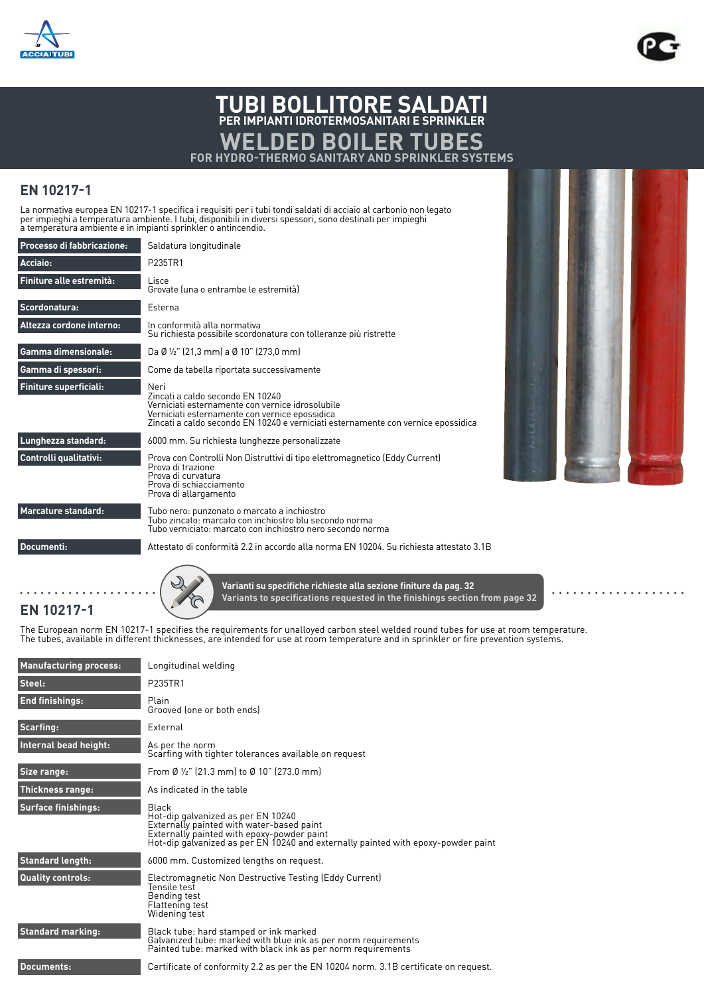



## **TUBI BOLLITORE SALDATI PER IMPIANTI IDROTERMOSANITARI E SPRINKLER WELDED BOILER TUBES FOR HYDRO-THERMO SANITARY AND SPRINKLER SYSTEMS**

## **EN 10217-1**

**EN 10217-1**

La normativa europea EN 10217-1 specifica i requisiti per i tubi tondi saldati di acciaio al carbonio non legato<br>per impieghi a temperatura ambiente. I tubi, disponibili in diversi spessori, sono destinati per impieghi<br>a t

| Processo di fabbricazione:    | Saldatura longitudinale                                                                                                                                                                                                             |  |  |  |  |  |  |  |
|-------------------------------|-------------------------------------------------------------------------------------------------------------------------------------------------------------------------------------------------------------------------------------|--|--|--|--|--|--|--|
| Acciaio:                      | P235TR1                                                                                                                                                                                                                             |  |  |  |  |  |  |  |
| Finiture alle estremità:      | Lisce<br>Grovate luna o entrambe le estremitàl                                                                                                                                                                                      |  |  |  |  |  |  |  |
| Scordonatura:                 | Esterna                                                                                                                                                                                                                             |  |  |  |  |  |  |  |
| Altezza cordone interno:      | In conformità alla normativa<br>Su richiesta possibile scordonatura con tolleranze più ristrette                                                                                                                                    |  |  |  |  |  |  |  |
| <b>Gamma dimensionale:</b>    | Da Ø ½" (21,3 mm) a Ø 10" (273,0 mm)                                                                                                                                                                                                |  |  |  |  |  |  |  |
| Gamma di spessori:            | Come da tabella riportata successivamente                                                                                                                                                                                           |  |  |  |  |  |  |  |
| <b>Finiture superficiali:</b> | Neri<br>Zincati a caldo secondo EN 10240<br>Verniciati esternamente con vernice idrosolubile<br>Verniciati esternamente con vernice epossidica<br>Zincati a caldo secondo EN 10240 e verniciati esternamente con vernice epossidica |  |  |  |  |  |  |  |
| Lunghezza standard:           | 6000 mm. Su richiesta lunghezze personalizzate                                                                                                                                                                                      |  |  |  |  |  |  |  |
| Controlli qualitativi:        | Prova con Controlli Non Distruttivi di tipo elettromagnetico (Eddy Current)<br>Prova di trazione<br>Prova di curvatura<br>Prova di schiacciamento<br>Prova di allargamento                                                          |  |  |  |  |  |  |  |
| <b>Marcature standard:</b>    | Tubo nero: punzonato o marcato a inchiostro<br>Tubo zincato: marcato con inchiostro blu secondo norma<br>Tubo verniciato: marcato con inchiostro nero secondo norma                                                                 |  |  |  |  |  |  |  |
| Documenti:                    | Attestato di conformità 2.2 in accordo alla norma EN 10204. Su richiesta attestato 3.1B                                                                                                                                             |  |  |  |  |  |  |  |
|                               |                                                                                                                                                                                                                                     |  |  |  |  |  |  |  |



**Varianti su specifiche richieste alla sezione finiture da pag. 32 Variants to specifications requested in the finishings section from page 32**

The European norm EN 10217-1 specifies the requirements for unalloyed carbon steel welded round tubes for use at room temperature.<br>The tubes, available in different thicknesses, are intended for use at room temperature and

| <b>Manufacturing process:</b> | Longitudinal welding                                                                                                                                                                                                        |
|-------------------------------|-----------------------------------------------------------------------------------------------------------------------------------------------------------------------------------------------------------------------------|
| Steel:                        | P235TR1                                                                                                                                                                                                                     |
| <b>End finishings:</b>        | Plain<br>Grooved (one or both ends)                                                                                                                                                                                         |
| Scarfing:                     | External                                                                                                                                                                                                                    |
| Internal bead height:         | As per the norm<br>Scarfing with tighter tolerances available on request                                                                                                                                                    |
| Size range:                   | From Ø $\frac{1}{2}$ " (21.3 mm) to Ø 10" (273.0 mm)                                                                                                                                                                        |
| <b>Thickness range:</b>       | As indicated in the table                                                                                                                                                                                                   |
| <b>Surface finishings:</b>    | Black<br>Hot-dip galvanized as per EN 10240<br>Externally painted with water-based paint<br>Externally painted with epoxy-powder paint<br>Hot-dip galvanized as per EN 10240 and externally painted with epoxy-powder paint |
| <b>Standard length:</b>       | 6000 mm. Customized lengths on request.                                                                                                                                                                                     |
| <b>Quality controls:</b>      | Electromagnetic Non Destructive Testing (Eddy Current)<br>Tensile test<br>Bending test<br>Flattening test<br>Widening test                                                                                                  |
| <b>Standard marking:</b>      | Black tube: hard stamped or ink marked<br>Galvanized tube: marked with blue ink as per norm requirements<br>Painted tube: marked with black ink as per norm requirements                                                    |
| <b>Documents:</b>             | Certificate of conformity 2.2 as per the EN 10204 norm. 3.1B certificate on request.                                                                                                                                        |